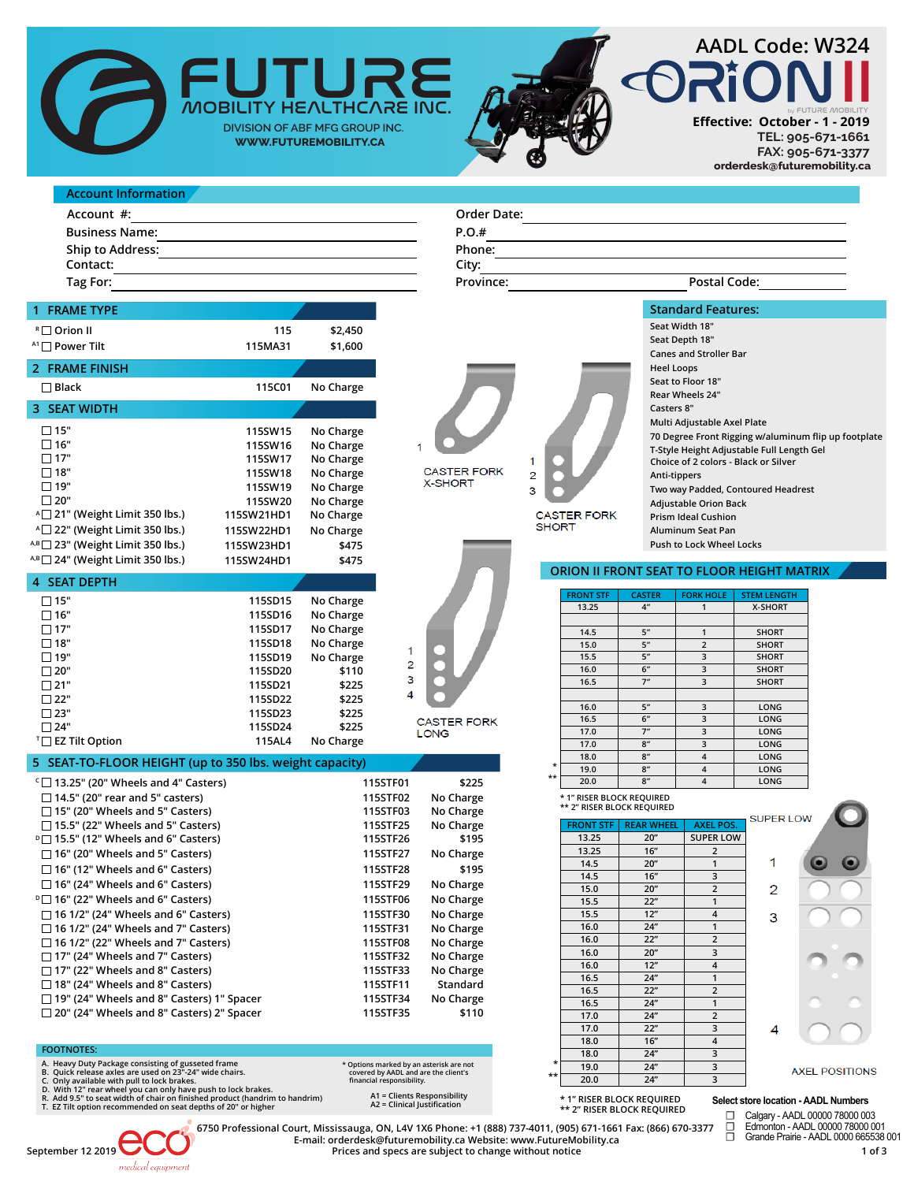

**X-SHORT** 

**CASTER FORK** LONG

1  $\overline{c}$  $\overline{\mathbf{3}}$  $\overline{4}$ 

| Order Date: |                     |
|-------------|---------------------|
| P.O.#       |                     |
| Phone:      |                     |
| City:       |                     |
| Province:   | <b>Postal Code:</b> |
|             |                     |

| 1 FRAME TYPE            |         |           |
|-------------------------|---------|-----------|
| R <sub>□</sub> Orion II | 115     | \$2,450   |
| $A1$ Power Tilt         | 115MA31 | \$1,600   |
| 2 FRAME FINISH          |         |           |
| $\Box$ Black            | 115C01  | No Charge |

| 3 SEAT WIDTH                                        |            |           |
|-----------------------------------------------------|------------|-----------|
| $\Box$ 15"                                          | 115SW15    | No Charge |
| □ 16"                                               | 115SW16    | No Charge |
| □ 17"                                               | 115SW17    | No Charge |
| ∏ 18"                                               | 115SW18    | No Charge |
| $\Box$ 19"                                          | 115SW19    | No Charge |
| $\Box$ 20"                                          | 115SW20    | No Charge |
| A <sup>1</sup> 21" (Weight Limit 350 lbs.)          | 115SW21HD1 | No Charge |
| $\triangle$ 22" (Weight Limit 350 lbs.)             | 115SW22HD1 | No Charge |
| $A$ <sup>B</sup> $\Box$ 23" (Weight Limit 350 lbs.) | 115SW23HD1 | \$475     |
| $A$ <sup>B</sup> $\Box$ 24" (Weight Limit 350 lbs.) | 115SW24HD1 | \$475     |

| <b>4 SEAT DEPTH</b>         |         |           |
|-----------------------------|---------|-----------|
|                             |         |           |
| 15"                         | 115SD15 | No Charge |
| $\neg$ 16"                  | 115SD16 | No Charge |
| "17"                        | 115SD17 | No Charge |
| "18"                        | 115SD18 | No Charge |
| 19"                         | 115SD19 | No Charge |
| "20 ⊓                       | 115SD20 | \$110     |
| $\neg$ 21"                  | 115SD21 | \$225     |
| "22 ⊓                       | 115SD22 | \$225     |
| "23"                        | 115SD23 | \$225     |
| "24 ⊏                       | 115SD24 | \$225     |
| <sup>™</sup> EZ Tilt Option | 115AL4  | No Charge |

# **5 SEAT-TO-FLOOR HEIGHT (up to 350 lbs. weight capacity)**

| $\lceil$ 13.25" (20" Wheels and 4" Casters)      | 115STF01 | \$225     |
|--------------------------------------------------|----------|-----------|
| $\Box$ 14.5" (20" rear and 5" casters)           | 115STF02 | No Charge |
| $\Box$ 15" (20" Wheels and 5" Casters)           | 115STF03 | No Charge |
| $\Box$ 15.5" (22" Wheels and 5" Casters)         | 115STF25 | No Charge |
| $\textdegree$ 15.5" (12" Wheels and 6" Casters)  | 115STF26 | \$195     |
| $\Box$ 16" (20" Wheels and 5" Casters)           | 115STF27 | No Charge |
| $\Box$ 16" (12" Wheels and 6" Casters)           | 115STF28 | \$195     |
| $\Box$ 16" (24" Wheels and 6" Casters)           | 115STF29 | No Charge |
| $\textdegree$ 16" (22" Wheels and 6" Casters)    | 115STF06 | No Charge |
| $\Box$ 16 1/2" (24" Wheels and 6" Casters)       | 115STF30 | No Charge |
| $\Box$ 16 1/2" (24" Wheels and 7" Casters)       | 115STF31 | No Charge |
| $\Box$ 16 1/2" (22" Wheels and 7" Casters)       | 115STF08 | No Charge |
| $\Box$ 17" (24" Wheels and 7" Casters)           | 115STF32 | No Charge |
| $\Box$ 17" (22" Wheels and 8" Casters)           | 115STF33 | No Charge |
| $\Box$ 18" (24" Wheels and 8" Casters)           | 115STF11 | Standard  |
| □ 19" (24" Wheels and 8" Casters) 1" Spacer      | 115STF34 | No Charge |
| $\Box$ 20" (24" Wheels and 8" Casters) 2" Spacer | 115STF35 | \$110     |
|                                                  |          |           |

## **FOOTNOTES:**

- **A. Heavy Duty Package consisting of gusseted frame B. Quick release axles are used on 23"-24" wide chairs.**
- 
- 
- C. Only available with pull to lock brakes.<br>D. With 12" rear wheel you can only have push to lock brakes.<br>R. Add 9.5" to seat width of chair on finished product (handrim to handrim)<br>T. EZ Tilt option recommended on seat de
- **\* Options marked by an asterisk are not covered by AADL and are the client's financial responsibility.** 
	-
	- **A1 = Clients Responsibility A2 = Clinical Justification**





**Seat Width 18" Seat Depth 18" Canes and Stroller Bar T-Style Height Adjustable Full Length Gel Seat to Floor 18" Rear Wheels 24" Casters 8" Multi Adjustable Axel Plate 70 Degree Front Rigging w/aluminum flip up footplate Heel Loops Push to Lock Wheel Locks Aluminum Seat Pan Prism Ideal Cushion Adjustable Orion Back Two way Padded, Contoured Headrest Anti-tippers Choice of 2 colors - Black or Silver**

BY FUTURE MOBILITY

**TEL: 905-671-1661 FAX: 905-671-3377**

# **ORION II FRONT SEAT TO FLOOR HEIGHT MATRIX**

|              | <b>FRONT STF</b> | <b>CASTER</b>   | <b>FORK HOLE</b>        | <b>STEM LENGTH</b> |
|--------------|------------------|-----------------|-------------------------|--------------------|
|              | 13.25            | 4 <sup>''</sup> | 1                       | <b>X-SHORT</b>     |
|              |                  |                 |                         |                    |
|              | 14.5             | 5"              | 1                       | <b>SHORT</b>       |
|              | 15.0             | 5"              | $\overline{2}$          | <b>SHORT</b>       |
|              | 15.5             | 5"              | 3                       | <b>SHORT</b>       |
|              | 16.0             | 6"              | 3                       | <b>SHORT</b>       |
|              | 16.5             | 7"              | 3                       | <b>SHORT</b>       |
|              |                  |                 |                         |                    |
|              | 16.0             | 5"              | 3                       | LONG               |
|              | 16.5             | 6"              | 3                       | LONG               |
|              | 17.0             | 7"              | 3                       | LONG               |
|              | 17.0             | 8"              | 3                       | LONG               |
|              | 18.0             | 8"              | $\overline{\mathbf{4}}$ | LONG               |
| $\star$      | 19.0             | 8"              | $\overline{\mathbf{4}}$ | LONG               |
| $\star\star$ | 20.0             | 8"              | $\overline{\mathbf{4}}$ | LONG               |
|              |                  |                 |                         |                    |

# **\* 1" RISER BLOCK REQUIRED \*\* 2" RISER BLOCK REQUIRED**

|                 |                  |                   |                         | <b>SUPER LOW</b> |                       |
|-----------------|------------------|-------------------|-------------------------|------------------|-----------------------|
|                 | <b>FRONT STF</b> | <b>REAR WHEEL</b> | <b>AXEL POS.</b>        |                  |                       |
|                 | 13.25            | 20"               | <b>SUPER LOW</b>        |                  |                       |
|                 | 13.25            | 16"               | $\overline{2}$          |                  |                       |
|                 | 14.5             | 20"               | 1                       | 1                |                       |
|                 | 14.5             | 16"               | 3                       |                  |                       |
|                 | 15.0             | 20"               | $\overline{2}$          | 2                |                       |
|                 | 15.5             | 22"               | 1                       |                  |                       |
|                 | 15.5             | 12"               | $\overline{\mathbf{4}}$ | 3                |                       |
|                 | 16.0             | 24"               | 1                       |                  |                       |
|                 | 16.0             | 22"               | $\overline{2}$          |                  |                       |
|                 | 16.0             | 20"               | 3                       |                  |                       |
|                 | 16.0             | 12"               | $\overline{\mathbf{4}}$ |                  |                       |
|                 | 16.5             | 24"               | $\mathbf{1}$            |                  |                       |
|                 | 16.5             | 22"               | $\overline{2}$          |                  |                       |
|                 | 16.5             | 24"               | $\mathbf{1}$            |                  |                       |
|                 | 17.0             | 24"               | $\overline{2}$          |                  |                       |
|                 | 17.0             | 22"               | 3                       | 4                |                       |
|                 | 18.0             | 16"               | $\overline{\mathbf{4}}$ |                  |                       |
|                 | 18.0             | 24"               | 3                       |                  |                       |
| $\star$         | 19.0             | 24"               | 3                       |                  | <b>AXEL POSITIONS</b> |
| $^{\star\star}$ | 20.0             | 24"               | 3                       |                  |                       |
|                 |                  |                   |                         |                  |                       |

**\* 1" RISER BLOCK REQUIRED \*\* 2" RISER BLOCK REQUIRED**

### **Select store location - AADL Numbers**

□ Calgary - AADL 00000 78000 003<br>□ Edmonton - AADL 00000 78000 00<br>□ Grande Prairie - AADL 0000 66553 Edmonton - AADL 00000 78000 001 ☐ Grande Prairie - AADL 0000 665538 001

**September 12 2019 1 of 3 Prices and specs are subject to change without notice 6750 Professional Court, Mississauga, ON, L4V 1X6 Phone: +1 (888) 737-4011, (905) 671-1661 Fax: (866) 670-3377 E-mail: orderdesk@futuremobility.ca Website: www.FutureMobility.ca**

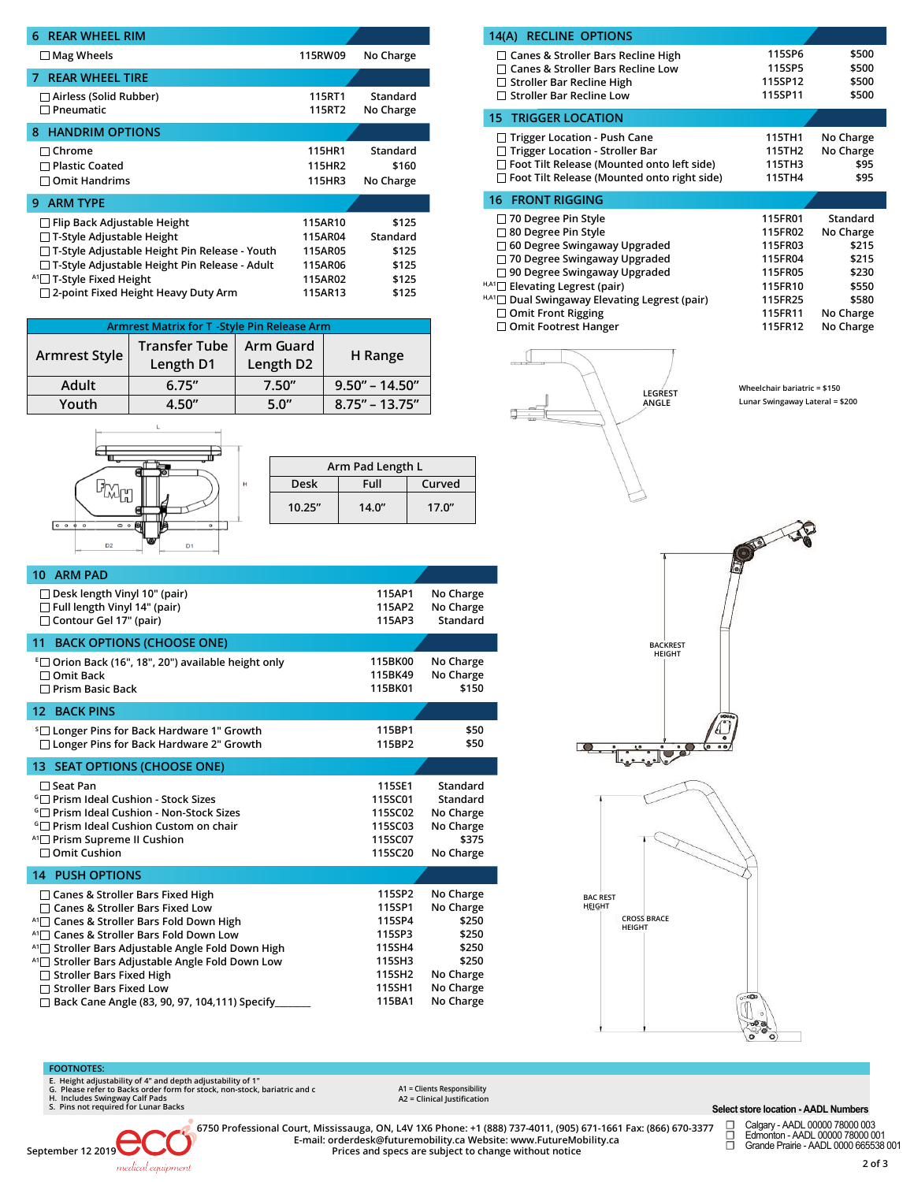| <b>REAR WHEEL RIM</b><br>6                                                                                                                                                                                   |                                                     |                                              |
|--------------------------------------------------------------------------------------------------------------------------------------------------------------------------------------------------------------|-----------------------------------------------------|----------------------------------------------|
| $\Box$ Mag Wheels                                                                                                                                                                                            | 115RW09                                             | No Charge                                    |
| <b>REAR WHEEL TIRE</b><br>7                                                                                                                                                                                  |                                                     |                                              |
| $\Box$ Airless (Solid Rubber)<br>$\Box$ Pneumatic                                                                                                                                                            | 115RT1<br>115RT2                                    | Standard<br>No Charge                        |
| <b>HANDRIM OPTIONS</b><br>8                                                                                                                                                                                  |                                                     |                                              |
| $\sqcap$ Chrome<br>$\Box$ Plastic Coated<br><b>Omit Handrims</b>                                                                                                                                             | 115HR1<br>115HR2<br>115HR3                          | Standard<br>\$160<br>No Charge               |
| <b>ARM TYPE</b><br>9                                                                                                                                                                                         |                                                     |                                              |
| $\Box$ Flip Back Adjustable Height<br>$\Box$ T-Style Adjustable Height<br>□ T-Style Adjustable Height Pin Release - Youth<br>□ T-Style Adjustable Height Pin Release - Adult<br>$^{A1}$ T-Style Fixed Height | 115AR10<br>115AR04<br>115AR05<br>115AR06<br>115AR02 | \$125<br>Standard<br>\$125<br>\$125<br>\$125 |
| $\Box$ 2-point Fixed Height Heavy Duty Arm                                                                                                                                                                   | 115AR13                                             | \$125                                        |

| <b>Armrest Matrix for T - Style Pin Release Arm</b> |                                   |                        |                    |  |
|-----------------------------------------------------|-----------------------------------|------------------------|--------------------|--|
| <b>Armrest Style</b>                                | <b>Transfer Tube</b><br>Length D1 | Arm Guard<br>Length D2 | H Range            |  |
| Adult                                               | 6.75''                            | 7.50''                 | $9.50'' - 14.50''$ |  |
| Youth                                               | 4.50''                            | 5.0"                   | $8.75" - 13.75"$   |  |

| Θ                                                         |   |
|-----------------------------------------------------------|---|
|                                                           | H |
| $0$ 0<br>$\circ$<br>$\circ$<br>▭<br>o<br>c                |   |
| ਨ<br>D <sub>2</sub><br>D <sub>1</sub><br>$-$<br>-<br>4344 |   |

 $\mathbf{L}$ 

| Arm Pad Length L |        |        |  |
|------------------|--------|--------|--|
| Desk             | Full   | Curved |  |
| 10.25''          | 14.0'' | 17.0'' |  |
|                  |        |        |  |

| <b>ARM PAD</b><br>10                                                                                                                                                                                                                                                                                                                                                                                                                                 |                                                                                        |                                                                                                   |
|------------------------------------------------------------------------------------------------------------------------------------------------------------------------------------------------------------------------------------------------------------------------------------------------------------------------------------------------------------------------------------------------------------------------------------------------------|----------------------------------------------------------------------------------------|---------------------------------------------------------------------------------------------------|
| $\Box$ Desk length Vinyl 10" (pair)<br>$\Box$ Full length Vinyl 14" (pair)<br>Contour Gel 17" (pair)                                                                                                                                                                                                                                                                                                                                                 | 115AP1<br>115AP2<br>115AP3                                                             | No Charge<br>No Charge<br>Standard                                                                |
| <b>BACK OPTIONS (CHOOSE ONE)</b><br>11                                                                                                                                                                                                                                                                                                                                                                                                               |                                                                                        |                                                                                                   |
| <sup>E</sup> □ Orion Back (16", 18", 20") available height only<br>□ Omit Back<br>$\Box$ Prism Basic Back                                                                                                                                                                                                                                                                                                                                            | 115BK00<br>115BK49<br>115BK01                                                          | No Charge<br>No Charge<br>\$150                                                                   |
| <b>12 BACK PINS</b>                                                                                                                                                                                                                                                                                                                                                                                                                                  |                                                                                        |                                                                                                   |
| <sup>s</sup> □ Longer Pins for Back Hardware 1" Growth<br>□ Longer Pins for Back Hardware 2" Growth                                                                                                                                                                                                                                                                                                                                                  | 115BP1<br>115BP2                                                                       | \$50<br>\$50                                                                                      |
| 13 SEAT OPTIONS (CHOOSE ONE)                                                                                                                                                                                                                                                                                                                                                                                                                         |                                                                                        |                                                                                                   |
| $\Box$ Seat Pan<br><b>Fig. 2 Prism Ideal Cushion - Stock Sizes</b><br><b><i>G</i></b> Prism Ideal Cushion - Non-Stock Sizes<br><b>The Prism Ideal Cushion Custom on chair</b><br><sup>A1</sup> □ Prism Supreme II Cushion<br>$\Box$ Omit Cushion                                                                                                                                                                                                     | 115SE1<br>115SC01<br>115SC02<br>115SC03<br>115SC07<br>115SC20                          | Standard<br>Standard<br>No Charge<br>No Charge<br>\$375<br>No Charge                              |
| <b>14 PUSH OPTIONS</b>                                                                                                                                                                                                                                                                                                                                                                                                                               |                                                                                        |                                                                                                   |
| $\Box$ Canes & Stroller Bars Fixed High<br>$\Box$ Canes & Stroller Bars Fixed Low<br>A1 <sup>1</sup> Canes & Stroller Bars Fold Down High<br>A1 <sup>-</sup> Canes & Stroller Bars Fold Down Low<br>A1 <sup>1</sup> Stroller Bars Adjustable Angle Fold Down High<br>A1 <sup>1</sup> Stroller Bars Adjustable Angle Fold Down Low<br>□ Stroller Bars Fixed High<br>$\Box$ Stroller Bars Fixed Low<br>□ Back Cane Angle (83, 90, 97, 104,111) Specify | 115SP2<br>115SP1<br>115SP4<br>115SP3<br>115SH4<br>115SH3<br>115SH2<br>115SH1<br>115BA1 | No Charge<br>No Charge<br>\$250<br>\$250<br>\$250<br>\$250<br>No Charge<br>No Charge<br>No Charge |

| 115SP6<br>115SP5<br>115SP12<br>115SP11                                               | \$500<br>\$500<br>\$500<br>\$500                                                             |
|--------------------------------------------------------------------------------------|----------------------------------------------------------------------------------------------|
|                                                                                      |                                                                                              |
| 115TH1<br>115TH2<br>115TH3<br>115TH4                                                 | No Charge<br>No Charge<br>\$95<br>\$95                                                       |
|                                                                                      |                                                                                              |
| 115FR01<br>115FR02<br>115FR03<br>115FR04<br>115FR05<br>115FR10<br>115FR25<br>115FR11 | Standard<br>No Charge<br>\$215<br>\$215<br>\$230<br>\$550<br>\$580<br>No Charge<br>No Charge |
|                                                                                      | 115FR12                                                                                      |



**Wheelchair bariatric = \$150 Lunar Swingaway Lateral = \$200**





# **FOOTNOTES:**

E. Height adjustability of 4" and depth adjustability of 1"<br>G. Please refer to Backs order form for stock, non-stock, bariatric and c<br>H. Includes Swingway Calf Pads<br>S. Pins not required for Lunar Backs

**A1 = Clients Responsibility A2 = Clinical Justification** 

### **Select store location - AADL Numbers**

**September 12 2019** medical equipment

6750 Professional Court, Mississauga, ON, L4V 1X6 Phone: +1 (888) 737-4011, (905) 671-1661 Fax: (866) 670-3377<br>E-mail: orderdesk@futuremobility.ca Website: www.FutureMobility.ca<br>Prices and specs are subject to change witho

☐ Calgary - AADL 00000 78000 003 ☐ Edmonton - AADL 00000 78000 001 ☐ Grande Prairie - AADL 0000 665538 001